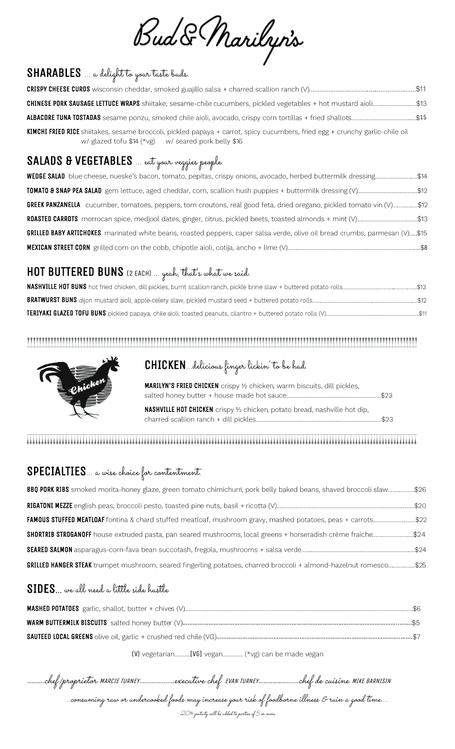Bud & Marilyn's

#### $\overline{a}$ SHARABLES … a delight to your taste buds.

| <b>CHINESE PORK SAUSAGE LETTUCE WRAPS</b> shiitake, sesame-chile cucumbers, pickled vegetables + hot mustard aioli\$13                                                                |  |
|---------------------------------------------------------------------------------------------------------------------------------------------------------------------------------------|--|
| ALBACORE TUNA TOSTADAS sesame ponzu, smoked chile aioli, avocado, crispy corn tortillas + fried shallots\$15                                                                          |  |
| KIMCHI FRIED RICE shiitakes, sesame broccoli, pickled papaya + carrot, spicy cucumbers, fried egg + crunchy garlic-chile oil<br>w/ glazed tofu $$14$ (*vg) w/ seared pork belly $$16$ |  |

#### $\overline{a}$ SALADS & VEGETABLES … eat your veggies people.

| <b>WEDGE SALAD</b> blue cheese, nueske's bacon, tomato, pepitas, crispy onions, avocado, herbed buttermilk dressing\$14            |
|------------------------------------------------------------------------------------------------------------------------------------|
| <b>TOMATO &amp; SNAP PEA SALAD</b> gem lettuce, aged cheddar, corn, scallion hush puppies + buttermilk dressing (V)\$12            |
| GREEK PANZANELLA cucumber, tomatoes, peppers, torn croutons, real good feta, dried oregano, pickled tomato vin (V)\$12             |
| <b>ROASTED CARROTS</b> morrocan spice, medjool dates, ginger, citrus, pickled beets, toasted almonds + mint (V)\$13                |
| <b>GRILLED BABY ARTICHOKES</b> marinated white beans, roasted peppers, caper salsa verde, olive oil bread crumbs, parmesan (V)\$15 |
|                                                                                                                                    |

## $\overline{a}$ HOT BUTTERED BUNS (2 EACH) … yeah, that's what we said.



## CHICKEN…delicious finger lickin' to be had.

MARILYN'S FRIED CHICKEN crispy 1/2 chicken, warm biscuits, dill pickles, 

NASHVILLE HOT CHICKEN crispy 1/2 chicken, potato bread, nashville hot dip, 

#### 

## $\overline{a}$ SPECIALTIES… a wise choice for contentment.

| <b>BBQ PORK RIBS</b> smoked morita-honey glaze, green tomato chimichurri, pork belly baked beans, shaved broccoli slaw\$26 |  |
|----------------------------------------------------------------------------------------------------------------------------|--|
|                                                                                                                            |  |
| FAMOUS STUFFED MEATLOAF fontina & chard stuffed meatloaf, mushroom gravy, mashed potatoes, peas + carrots\$22              |  |
| \$HORTRIB STROGANOFF house extruded pasta, pan seared mushrooms, local greens + horseradish crème fraiche\$24              |  |
|                                                                                                                            |  |
| GRILLED HANGER STEAK trumpet mushroom, seared fingerling potatoes, charred broccoli + almond-hazelnut romesco\$25          |  |

#### SIDES… we all need a little side hustle

[V] vegetarian..........[VG] vegan.............. (\*vg) can be made vegan

………..chef /proprietor MARCIE TURNEY....................executive chef EVAN TURNEY……………….......chef de cuisine MIKE BARNISIN ..consuming raw or undercooked foods may increase your risk of foodborne illness & ruin a good time…. 20% gratuity will be added to parties of 5 or more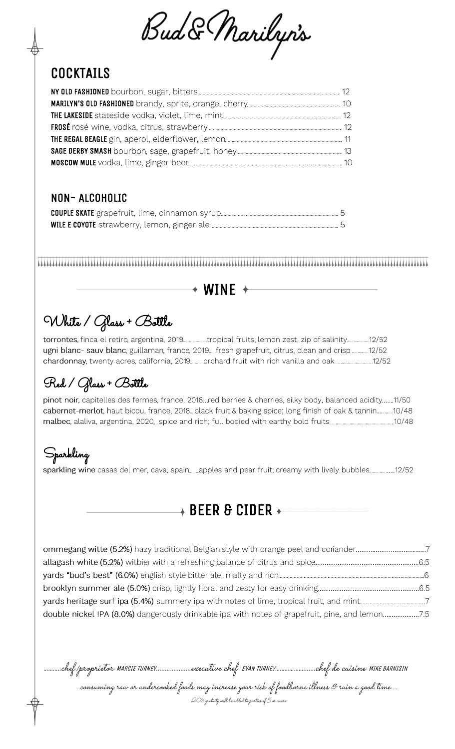Bud & Marilyn's

# **COCKTAILS**

#### NON- ALCOHOLIC

## $+$  WINE  $+$

# White / Glass + Bottle

torrontes, finca el retiro, argentina, 2019..................tropical fruits, lemon zest, zip of salinity.................12/52 ugni blanc- sauv blanc, guillaman, france, 2019.....fresh grapefruit, citrus, clean and crisp.............12/52 chardonnay, twenty acres, california, 2019...........orchard fruit with rich vanilla and oak..............................12/52

# Red / Glass + Bottle

pinot noir, capitelles des fermes, france, 2018...red berries & cherries, silky body, balanced acidity.......11/50 cabernet-merlot, haut bicou, france, 2018. black fruit & baking spice; long finish of oak & tannin.............10/48 10/48 malbec, alaliva, argentina, 2020... spice and rich; full bodied with earthy bold fruits..............

# Sparkling

sparkling wine casas del mer, cava, spain........apples and pear fruit; creamy with lively bubbles....................12/52

 $\overline{*}$  BEER & CIDER  $\overline{*}$ 

| double nickel IPA (8.0%) dangerously drinkable ipa with notes of grapefruit, pine, and lemon7.5 |  |
|-------------------------------------------------------------------------------------------------|--|
|                                                                                                 |  |

………..chef /proprietor MARCIE TURNEY....................executive chef EVAN TURNEY……………….......chef de cuisine MIKE BARNISIN ..consuming raw or undercooked foods may increase your risk of foodborne illness & ruin a good time…. 20% gratuity will be added to parties of 5 or more